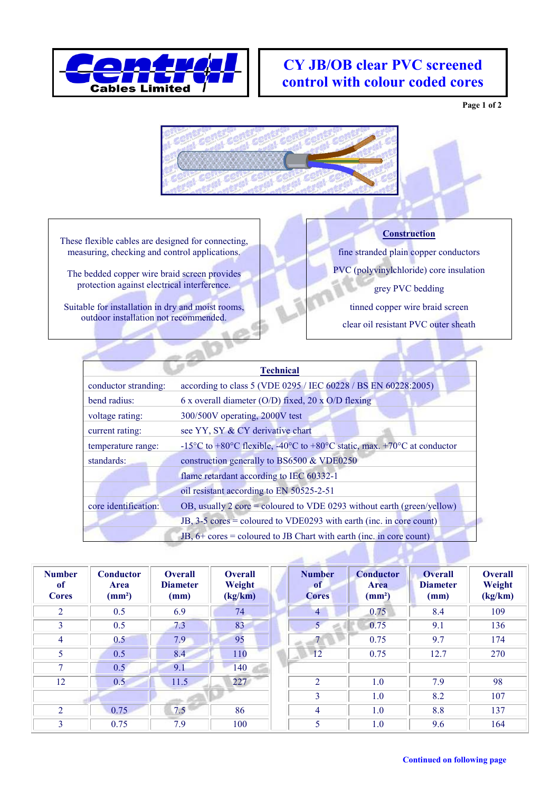

## **CY JB/OB clear PVC screened control with colour coded cores**

**Page 1 of 2**



These flexible cables are designed for connecting, measuring, checking and control applications.

The bedded copper wire braid screen provides protection against electrical interference.

Suitable for installation in dry and moist rooms, outdoor installation not recommended.

## **Construction**

fine stranded plain copper conductors

PVC (polyvinylchloride) core insulation

grey PVC bedding

tinned copper wire braid screen clear oil resistant PVC outer sheath

|                      | <b>Technical</b>                                                                                                                         |
|----------------------|------------------------------------------------------------------------------------------------------------------------------------------|
| conductor stranding: | according to class 5 (VDE 0295 / IEC 60228 / BS EN 60228:2005)                                                                           |
| bend radius:         | 6 x overall diameter (O/D) fixed, 20 x O/D flexing                                                                                       |
| voltage rating:      | 300/500V operating, 2000V test                                                                                                           |
| current rating:      | see YY, SY & CY derivative chart                                                                                                         |
| temperature range:   | -15 <sup>o</sup> C to +80 <sup>o</sup> C flexible, -40 <sup>o</sup> C to +80 <sup>o</sup> C static, max. +70 <sup>o</sup> C at conductor |
| standards:           | construction generally to BS6500 & VDE0250                                                                                               |
|                      | flame retardant according to IEC 60332-1                                                                                                 |
|                      | oil resistant according to EN 50525-2-51                                                                                                 |
| core identification: | OB, usually 2 core = coloured to VDE 0293 without earth (green/yellow)                                                                   |
|                      | JB, 3-5 cores = coloured to VDE0293 with earth (inc. in core count)                                                                      |
|                      | JB, $6+$ cores = coloured to JB Chart with earth (inc. in core count)                                                                    |

| <b>Number</b><br><sub>of</sub><br><b>Cores</b> | <b>Conductor</b><br>Area<br>(mm <sup>2</sup> ) | <b>Overall</b><br><b>Diameter</b><br>(mm) | <b>Overall</b><br>Weight<br>(kg/km) | <b>Number</b><br><sup>of</sup><br><b>Cores</b> | <b>Conductor</b><br><b>Area</b><br>$\text{(mm}^2)$ | <b>Overall</b><br><b>Diameter</b><br>(mm) | <b>Overall</b><br>Weight<br>(kg/km) |
|------------------------------------------------|------------------------------------------------|-------------------------------------------|-------------------------------------|------------------------------------------------|----------------------------------------------------|-------------------------------------------|-------------------------------------|
| $\overline{2}$                                 | 0.5                                            | 6.9                                       | 74                                  | $\overline{4}$                                 | 0.75                                               | 8.4                                       | 109                                 |
| 3                                              | 0.5                                            | 7.3                                       | 83                                  | 5 <sup>1</sup>                                 | 0.75                                               | 9.1                                       | 136                                 |
| 4                                              | 0.5                                            | 7.9                                       | 95                                  |                                                | 0.75                                               | 9.7                                       | 174                                 |
| 5                                              | 0.5                                            | 8.4                                       | 110                                 | 12                                             | 0.75                                               | 12.7                                      | 270                                 |
| 7                                              | 0.5                                            | 9.1                                       | 140                                 |                                                |                                                    |                                           |                                     |
| 12                                             | 0.5                                            | 11.5                                      | 227                                 | 2                                              | 1.0                                                | 7.9                                       | 98                                  |
|                                                |                                                |                                           |                                     | 3                                              | 1.0                                                | 8.2                                       | 107                                 |
| 2                                              | 0.75                                           | 7.5                                       | 86                                  | $\overline{4}$                                 | 1.0                                                | 8.8                                       | 137                                 |
| 3                                              | 0.75                                           | 7.9                                       | 100                                 | 5                                              | 1.0                                                | 9.6                                       | 164                                 |

**Contract Contract Contract**